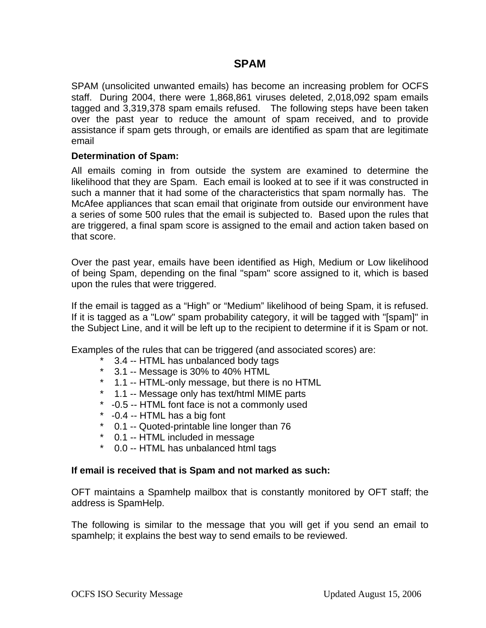# **SPAM**

SPAM (unsolicited unwanted emails) has become an increasing problem for OCFS staff. During 2004, there were 1,868,861 viruses deleted, 2,018,092 spam emails tagged and 3,319,378 spam emails refused. The following steps have been taken over the past year to reduce the amount of spam received, and to provide assistance if spam gets through, or emails are identified as spam that are legitimate email

## **Determination of Spam:**

All emails coming in from outside the system are examined to determine the likelihood that they are Spam. Each email is looked at to see if it was constructed in such a manner that it had some of the characteristics that spam normally has. The McAfee appliances that scan email that originate from outside our environment have a series of some 500 rules that the email is subjected to. Based upon the rules that are triggered, a final spam score is assigned to the email and action taken based on that score.

Over the past year, emails have been identified as High, Medium or Low likelihood of being Spam, depending on the final "spam" score assigned to it, which is based upon the rules that were triggered.

If the email is tagged as a "High" or "Medium" likelihood of being Spam, it is refused. If it is tagged as a "Low" spam probability category, it will be tagged with "[spam]" in the Subject Line, and it will be left up to the recipient to determine if it is Spam or not.

Examples of the rules that can be triggered (and associated scores) are:

- 3.4 -- HTML has unbalanced body tags
- \* 3.1 -- Message is 30% to 40% HTML
- \* 1.1 -- HTML-only message, but there is no HTML
- \* 1.1 -- Message only has text/html MIME parts
- \* -0.5 -- HTML font face is not a commonly used
- \* -0.4 -- HTML has a big font
- \* 0.1 -- Quoted-printable line longer than 76
- \* 0.1 -- HTML included in message
- \* 0.0 -- HTML has unbalanced html tags

## **If email is received that is Spam and not marked as such:**

OFT maintains a Spamhelp mailbox that is constantly monitored by OFT staff; the address is SpamHelp.

The following is similar to the message that you will get if you send an email to spamhelp; it explains the best way to send emails to be reviewed.